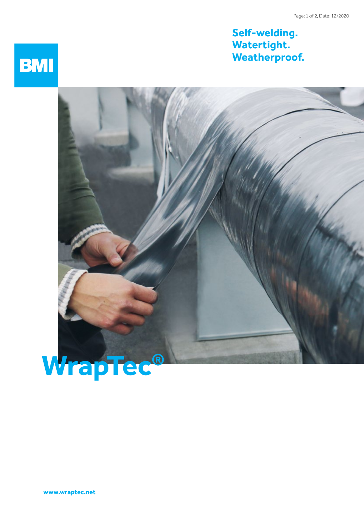## **Self-welding. Watertight. Weatherproof.**